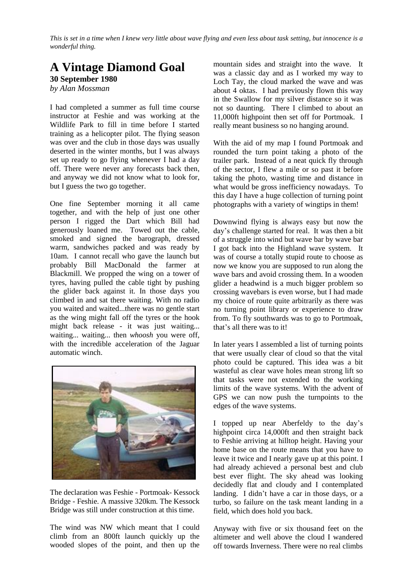*This is set in a time when I knew very little about wave flying and even less about task setting, but innocence is a wonderful thing.*

## **A Vintage Diamond Goal 30 September 1980**

*by Alan Mossman*

I had completed a summer as full time course instructor at Feshie and was working at the Wildlife Park to fill in time before I started training as a helicopter pilot. The flying season was over and the club in those days was usually deserted in the winter months, but I was always set up ready to go flying whenever I had a day off. There were never any forecasts back then, and anyway we did not know what to look for, but I guess the two go together.

One fine September morning it all came together, and with the help of just one other person I rigged the Dart which Bill had generously loaned me. Towed out the cable, smoked and signed the barograph, dressed warm, sandwiches packed and was ready by 10am. I cannot recall who gave the launch but probably Bill MacDonald the farmer at Blackmill. We propped the wing on a tower of tyres, having pulled the cable tight by pushing the glider back against it. In those days you climbed in and sat there waiting. With no radio you waited and waited...there was no gentle start as the wing might fall off the tyres or the hook might back release - it was just waiting... waiting... waiting... then *whoosh* you were off, with the incredible acceleration of the Jaguar automatic winch.



The declaration was Feshie - Portmoak- Kessock Bridge - Feshie. A massive 320km. The Kessock Bridge was still under construction at this time.

The wind was NW which meant that I could climb from an 800ft launch quickly up the wooded slopes of the point, and then up the mountain sides and straight into the wave. It was a classic day and as I worked my way to Loch Tay, the cloud marked the wave and was about 4 oktas. I had previously flown this way in the Swallow for my silver distance so it was not so daunting. There I climbed to about an 11,000ft highpoint then set off for Portmoak. I really meant business so no hanging around.

With the aid of my map I found Portmoak and rounded the turn point taking a photo of the trailer park. Instead of a neat quick fly through of the sector, I flew a mile or so past it before taking the photo, wasting time and distance in what would be gross inefficiency nowadays. To this day I have a huge collection of turning point photographs with a variety of wingtips in them!

Downwind flying is always easy but now the day's challenge started for real. It was then a bit of a struggle into wind but wave bar by wave bar I got back into the Highland wave system. It was of course a totally stupid route to choose as now we know you are supposed to run along the wave bars and avoid crossing them. In a wooden glider a headwind is a much bigger problem so crossing wavebars is even worse, but I had made my choice of route quite arbitrarily as there was no turning point library or experience to draw from. To fly southwards was to go to Portmoak, that's all there was to it!

In later years I assembled a list of turning points that were usually clear of cloud so that the vital photo could be captured. This idea was a bit wasteful as clear wave holes mean strong lift so that tasks were not extended to the working limits of the wave systems. With the advent of GPS we can now push the turnpoints to the edges of the wave systems.

I topped up near Aberfeldy to the day's highpoint circa 14,000ft and then straight back to Feshie arriving at hilltop height. Having your home base on the route means that you have to leave it twice and I nearly gave up at this point. I had already achieved a personal best and club best ever flight. The sky ahead was looking decidedly flat and cloudy and I contemplated landing. I didn't have a car in those days, or a turbo, so failure on the task meant landing in a field, which does hold you back.

Anyway with five or six thousand feet on the altimeter and well above the cloud I wandered off towards Inverness. There were no real climbs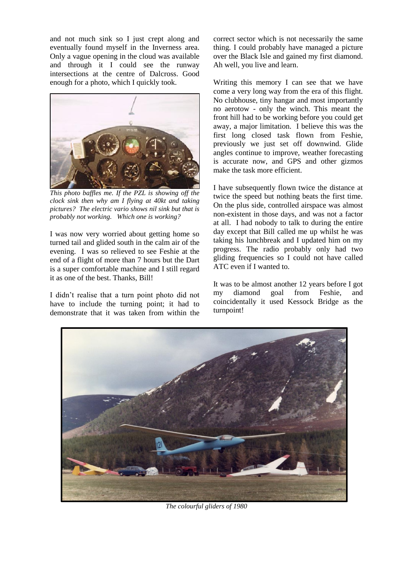and not much sink so I just crept along and eventually found myself in the Inverness area. Only a vague opening in the cloud was available and through it I could see the runway intersections at the centre of Dalcross. Good enough for a photo, which I quickly took.



*This photo baffles me. If the PZL is showing off the clock sink then why am I flying at 40kt and taking pictures? The electric vario shows nil sink but that is probably not working. Which one is working?*

I was now very worried about getting home so turned tail and glided south in the calm air of the evening. I was so relieved to see Feshie at the end of a flight of more than 7 hours but the Dart is a super comfortable machine and I still regard it as one of the best. Thanks, Bill!

I didn't realise that a turn point photo did not have to include the turning point; it had to demonstrate that it was taken from within the

correct sector which is not necessarily the same thing. I could probably have managed a picture over the Black Isle and gained my first diamond. Ah well, you live and learn.

Writing this memory I can see that we have come a very long way from the era of this flight. No clubhouse, tiny hangar and most importantly no aerotow - only the winch. This meant the front hill had to be working before you could get away, a major limitation. I believe this was the first long closed task flown from Feshie, previously we just set off downwind. Glide angles continue to improve, weather forecasting is accurate now, and GPS and other gizmos make the task more efficient.

I have subsequently flown twice the distance at twice the speed but nothing beats the first time. On the plus side, controlled airspace was almost non-existent in those days, and was not a factor at all. I had nobody to talk to during the entire day except that Bill called me up whilst he was taking his lunchbreak and I updated him on my progress. The radio probably only had two gliding frequencies so I could not have called ATC even if I wanted to.

It was to be almost another 12 years before I got my diamond goal from Feshie, and coincidentally it used Kessock Bridge as the turnpoint!



*The colourful gliders of 1980*